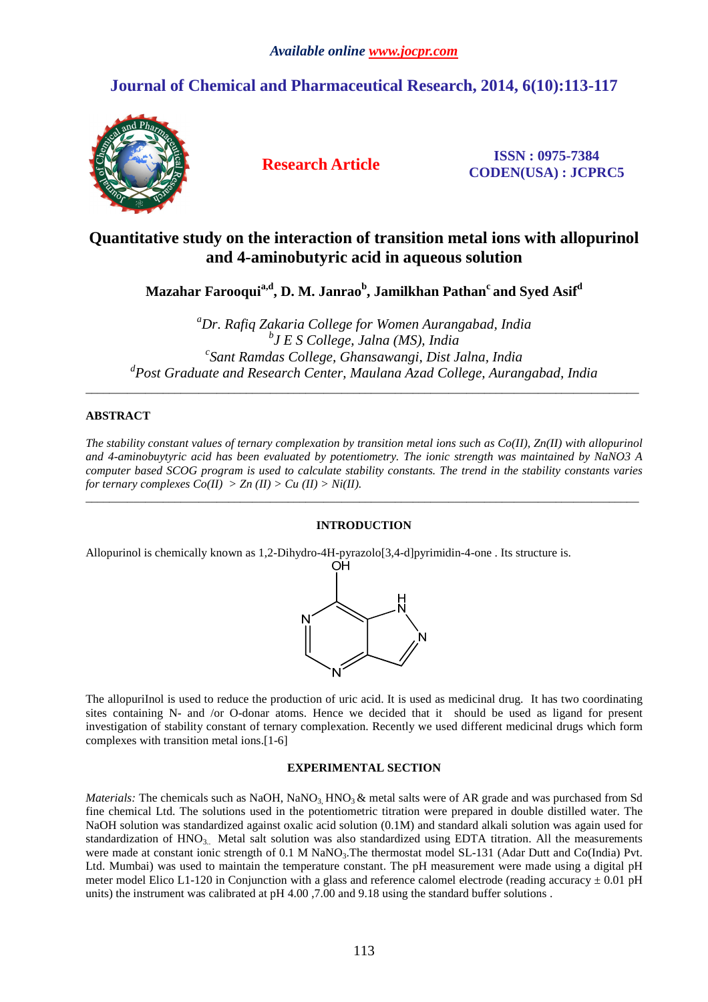# **Journal of Chemical and Pharmaceutical Research, 2014, 6(10):113-117**



**Research Article ISSN : 0975-7384 CODEN(USA) : JCPRC5**

## **Quantitative study on the interaction of transition metal ions with allopurinol and 4-aminobutyric acid in aqueous solution**

**Mazahar Farooquia,d, D. M. Janrao<sup>b</sup> , Jamilkhan Pathan<sup>c</sup>and Syed Asif<sup>d</sup>**

*<sup>a</sup>Dr. Rafiq Zakaria College for Women Aurangabad, India b J E S College, Jalna (MS), India c Sant Ramdas College, Ghansawangi, Dist Jalna, India d Post Graduate and Research Center, Maulana Azad College, Aurangabad, India* 

\_\_\_\_\_\_\_\_\_\_\_\_\_\_\_\_\_\_\_\_\_\_\_\_\_\_\_\_\_\_\_\_\_\_\_\_\_\_\_\_\_\_\_\_\_\_\_\_\_\_\_\_\_\_\_\_\_\_\_\_\_\_\_\_\_\_\_\_\_\_\_\_\_\_\_\_\_\_\_\_\_\_\_\_\_\_\_\_\_\_\_\_\_

### **ABSTRACT**

*The stability constant values of ternary complexation by transition metal ions such as Co(II), Zn(II) with allopurinol and 4-aminobuytyric acid has been evaluated by potentiometry. The ionic strength was maintained by NaNO3 A computer based SCOG program is used to calculate stability constants. The trend in the stability constants varies for ternary complexes*  $Co(II) > Zn (II) > Cu (II) > Ni(II)$ .

### **INTRODUCTION**

\_\_\_\_\_\_\_\_\_\_\_\_\_\_\_\_\_\_\_\_\_\_\_\_\_\_\_\_\_\_\_\_\_\_\_\_\_\_\_\_\_\_\_\_\_\_\_\_\_\_\_\_\_\_\_\_\_\_\_\_\_\_\_\_\_\_\_\_\_\_\_\_\_\_\_\_\_\_\_\_\_\_\_\_\_\_\_\_\_\_\_\_\_

Allopurinol is chemically known as 1,2-Dihydro-4H-pyrazolo[3,4-d]pyrimidin-4-one . Its structure is.



The allopuriInol is used to reduce the production of uric acid. It is used as medicinal drug. It has two coordinating sites containing N- and /or O-donar atoms. Hence we decided that it should be used as ligand for present investigation of stability constant of ternary complexation. Recently we used different medicinal drugs which form complexes with transition metal ions.[1-6]

### **EXPERIMENTAL SECTION**

*Materials:* The chemicals such as NaOH, NaNO<sub>3</sub> HNO<sub>3</sub> & metal salts were of AR grade and was purchased from Sd fine chemical Ltd. The solutions used in the potentiometric titration were prepared in double distilled water. The NaOH solution was standardized against oxalic acid solution (0.1M) and standard alkali solution was again used for standardization of HNO<sub>3.</sub> Metal salt solution was also standardized using EDTA titration. All the measurements were made at constant ionic strength of 0.1 M NaNO<sub>3</sub>. The thermostat model SL-131 (Adar Dutt and Co(India) Pvt. Ltd. Mumbai) was used to maintain the temperature constant. The pH measurement were made using a digital pH meter model Elico L1-120 in Conjunction with a glass and reference calomel electrode (reading accuracy  $\pm$  0.01 pH units) the instrument was calibrated at pH 4.00 ,7.00 and 9.18 using the standard buffer solutions .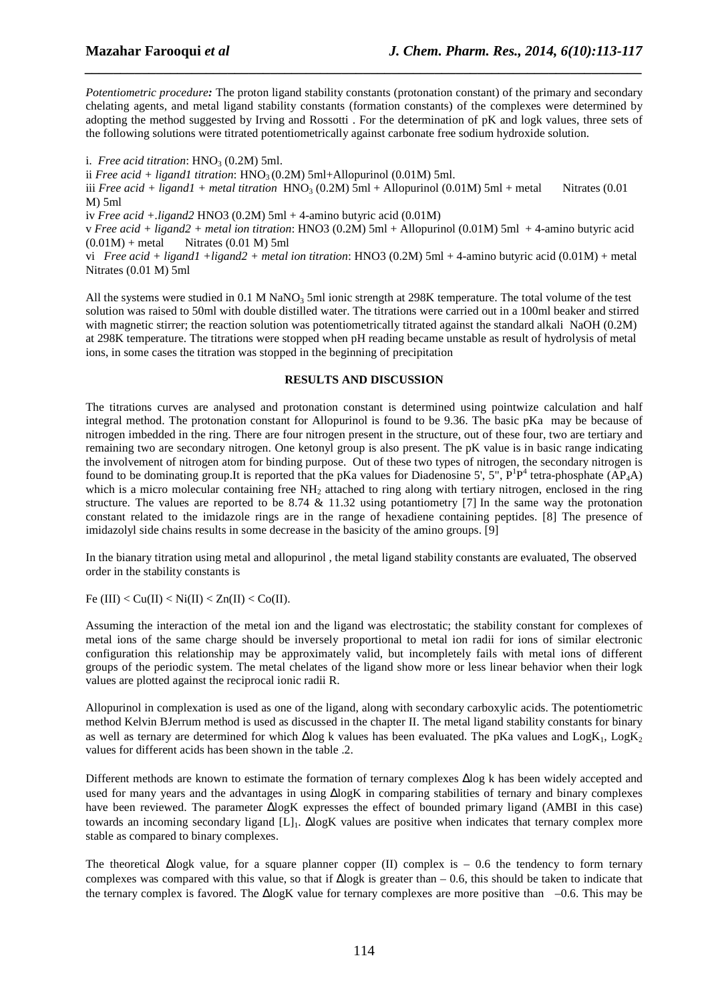*Potentiometric procedure:* The proton ligand stability constants (protonation constant) of the primary and secondary chelating agents, and metal ligand stability constants (formation constants) of the complexes were determined by adopting the method suggested by Irving and Rossotti . For the determination of pK and logk values, three sets of the following solutions were titrated potentiometrically against carbonate free sodium hydroxide solution.

*\_\_\_\_\_\_\_\_\_\_\_\_\_\_\_\_\_\_\_\_\_\_\_\_\_\_\_\_\_\_\_\_\_\_\_\_\_\_\_\_\_\_\_\_\_\_\_\_\_\_\_\_\_\_\_\_\_\_\_\_\_\_\_\_\_\_\_\_\_\_\_\_\_\_\_\_\_\_*

i. *Free acid titration*:  $HNO<sub>3</sub> (0.2M)$  5ml.

ii *Free acid + ligand1 titration*:  $HNO<sub>3</sub>(0.2M)$  5ml+Allopurinol (0.01M) 5ml.

iii *Free acid + ligand1 + metal titration*  $HNO<sub>3</sub> (0.2M) 5ml + Allopurinol (0.01M) 5ml + metal$  Nitrates (0.01 M) 5ml

iv *Free acid +.ligand2* HNO3 (0.2M) 5ml + 4-amino butyric acid (0.01M)

v *Free acid + ligand2 + metal ion titration*: HNO3 (0.2M) 5ml + Allopurinol (0.01M) 5ml + 4-amino butyric acid  $(0.01M) + \text{metal}$  Nitrates  $(0.01 \text{ M})$  5ml

vi *Free acid + ligand1 +ligand2 + metal ion titration*: HNO3 (0.2M) 5ml + 4-amino butyric acid (0.01M) + metal Nitrates (0.01 M) 5ml

All the systems were studied in 0.1 M NaNO<sub>3</sub> 5ml ionic strength at 298K temperature. The total volume of the test solution was raised to 50ml with double distilled water. The titrations were carried out in a 100ml beaker and stirred with magnetic stirrer; the reaction solution was potentiometrically titrated against the standard alkali NaOH (0.2M) at 298K temperature. The titrations were stopped when pH reading became unstable as result of hydrolysis of metal ions, in some cases the titration was stopped in the beginning of precipitation

#### **RESULTS AND DISCUSSION**

The titrations curves are analysed and protonation constant is determined using pointwize calculation and half integral method. The protonation constant for Allopurinol is found to be 9.36. The basic pKa may be because of nitrogen imbedded in the ring. There are four nitrogen present in the structure, out of these four, two are tertiary and remaining two are secondary nitrogen. One ketonyl group is also present. The pK value is in basic range indicating the involvement of nitrogen atom for binding purpose. Out of these two types of nitrogen, the secondary nitrogen is found to be dominating group. It is reported that the pKa values for Diadenosine 5',  $5$ ",  $P^1P^4$  tetra-phosphate (AP<sub>4</sub>A) which is a micro molecular containing free NH<sub>2</sub> attached to ring along with tertiary nitrogen, enclosed in the ring structure. The values are reported to be 8.74 & 11.32 using potantiometry [7] In the same way the protonation constant related to the imidazole rings are in the range of hexadiene containing peptides. [8] The presence of imidazolyl side chains results in some decrease in the basicity of the amino groups. [9]

In the bianary titration using metal and allopurinol , the metal ligand stability constants are evaluated, The observed order in the stability constants is

Fe (III) < Cu(II) < Ni(II) < Zn(II) < Co(II).

Assuming the interaction of the metal ion and the ligand was electrostatic; the stability constant for complexes of metal ions of the same charge should be inversely proportional to metal ion radii for ions of similar electronic configuration this relationship may be approximately valid, but incompletely fails with metal ions of different groups of the periodic system. The metal chelates of the ligand show more or less linear behavior when their logk values are plotted against the reciprocal ionic radii R.

Allopurinol in complexation is used as one of the ligand, along with secondary carboxylic acids. The potentiometric method Kelvin BJerrum method is used as discussed in the chapter II. The metal ligand stability constants for binary as well as ternary are determined for which ∆log k values has been evaluated. The pKa values and LogK<sub>1</sub>, LogK<sub>2</sub> values for different acids has been shown in the table .2.

Different methods are known to estimate the formation of ternary complexes ∆log k has been widely accepted and used for many years and the advantages in using ∆logK in comparing stabilities of ternary and binary complexes have been reviewed. The parameter ∆logK expresses the effect of bounded primary ligand (AMBI in this case) towards an incoming secondary ligand [L]1. ∆logK values are positive when indicates that ternary complex more stable as compared to binary complexes.

The theoretical ∆logk value, for a square planner copper (II) complex is – 0.6 the tendency to form ternary complexes was compared with this value, so that if ∆logk is greater than – 0.6, this should be taken to indicate that the ternary complex is favored. The ∆logK value for ternary complexes are more positive than –0.6. This may be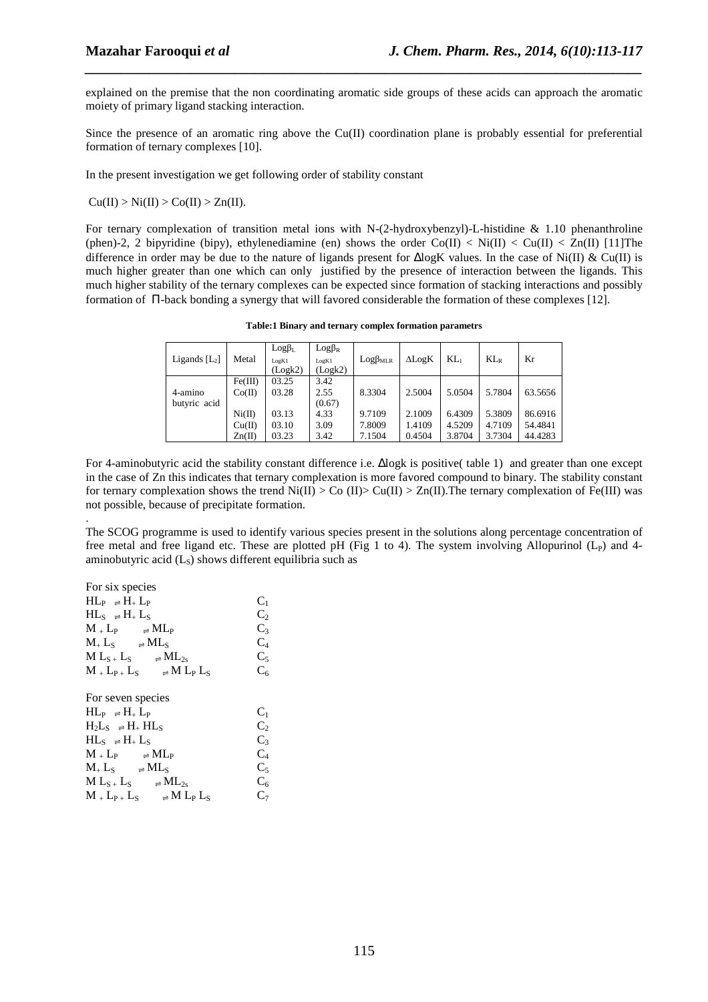explained on the premise that the non coordinating aromatic side groups of these acids can approach the aromatic moiety of primary ligand stacking interaction.

*\_\_\_\_\_\_\_\_\_\_\_\_\_\_\_\_\_\_\_\_\_\_\_\_\_\_\_\_\_\_\_\_\_\_\_\_\_\_\_\_\_\_\_\_\_\_\_\_\_\_\_\_\_\_\_\_\_\_\_\_\_\_\_\_\_\_\_\_\_\_\_\_\_\_\_\_\_\_*

Since the presence of an aromatic ring above the  $Cu(II)$  coordination plane is probably essential for preferential formation of ternary complexes [10].

In the present investigation we get following order of stability constant

 $Cu(II) > Ni(II) > Co(II) > Zn(II).$ 

For ternary complexation of transition metal ions with N-(2-hydroxybenzyl)-L-histidine & 1.10 phenanthroline (phen)-2, 2 bipyridine (bipy), ethylenediamine (en) shows the order  $\text{Co(II)} < \text{Ni(II)} < \text{Cu(II)} < \text{Zn(II)}$  [11] The difference in order may be due to the nature of ligands present for ∆logK values. In the case of Ni(II) & Cu(II) is much higher greater than one which can only justified by the presence of interaction between the ligands. This much higher stability of the ternary complexes can be expected since formation of stacking interactions and possibly formation of Π-back bonding a synergy that will favored considerable the formation of these complexes [12].

**Table:1 Binary and ternary complex formation parametrs** 

| Ligands $[L_2]$         | Metal                      | $Log\beta_L$<br>LogK1<br>(Logk2) | $Log\beta_R$<br>LogK1<br>(Logk2) | Log <sub>MLR</sub>         | $\Delta$ LogK              | $KL_1$                     | $KL_R$                     | Kr                            |
|-------------------------|----------------------------|----------------------------------|----------------------------------|----------------------------|----------------------------|----------------------------|----------------------------|-------------------------------|
| 4-amino<br>butyric acid | Fe(III)<br>Co(II)          | 03.25<br>03.28                   | 3.42<br>2.55<br>(0.67)           | 8.3304                     | 2.5004                     | 5.0504                     | 5.7804                     | 63.5656                       |
|                         | Ni(II)<br>Cu(II)<br>Zn(II) | 03.13<br>03.10<br>03.23          | 4.33<br>3.09<br>3.42             | 9.7109<br>7.8009<br>7.1504 | 2.1009<br>1.4109<br>0.4504 | 6.4309<br>4.5209<br>3.8704 | 5.3809<br>4.7109<br>3.7304 | 86.6916<br>54.4841<br>44.4283 |

For 4-aminobutyric acid the stability constant difference i.e. ∆logk is positive( table 1) and greater than one except in the case of Zn this indicates that ternary complexation is more favored compound to binary. The stability constant for ternary complexation shows the trend  $N_i(I) > Co (II) > Cu(II) > Z_n(I)$ . The ternary complexation of Fe(III) was not possible, because of precipitate formation.

The SCOG programme is used to identify various species present in the solutions along percentage concentration of free metal and free ligand etc. These are plotted pH (Fig 1 to 4). The system involving Allopurinol ( $L<sub>P</sub>$ ) and 4aminobutyric acid  $(L_s)$  shows different equilibria such as

| For six species                                 |                            |
|-------------------------------------------------|----------------------------|
| $HL_P \rightleftharpoons H_+ L_P$               | C <sub>1</sub>             |
| $HL_s \rightleftharpoons H_+ L_s$               | $\mathbf{C}^{\mathcal{P}}$ |
| $M + L_P$ $\Rightarrow ML_P$                    | $C_3$                      |
| $M_+ L_S$ $\Rightarrow ML_S$                    | $C_4$                      |
| $ML_{S+}L_S$ $\Rightarrow ML_{2s}$              | $C_5$                      |
| $M_{+}L_{P+}L_{S}$ $\Rightarrow$ M $L_{P}L_{S}$ | $C_6$                      |
|                                                 |                            |
| For seven species                               |                            |
| $HL_P \rightleftharpoons H_+ L_P$               | $C_{1}$                    |
| $H_2L_S \rightleftharpoons H_+HL_S$             | $C_{2}$                    |
| $HL_s \rightleftharpoons H_+ L_s$               | $C_3$                      |
| $M + L_P$ $\Rightarrow ML_P$                    | $C_4$                      |
| $M_+ L_S$ $\Rightarrow ML_S$                    | $C_5$                      |
| $ML_{S+}L_{S}$ $\Rightarrow ML_{2s}$            | $C_6$                      |
| $M + L_{P+}L_S$ $\Rightarrow$ M $L_P L_S$       | C7                         |
|                                                 |                            |

.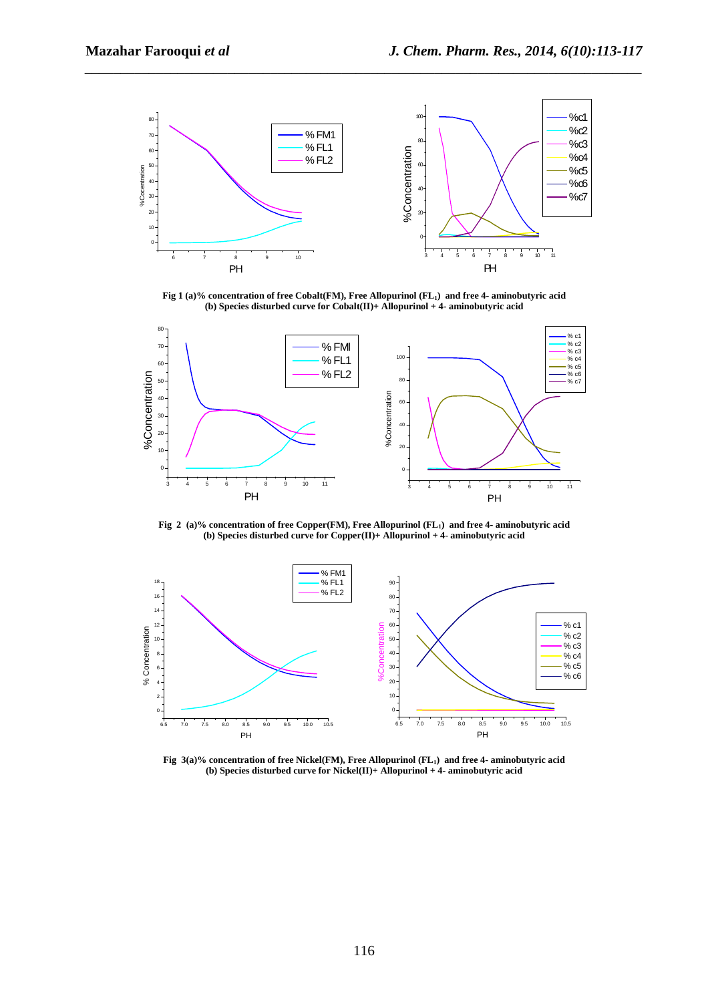

*\_\_\_\_\_\_\_\_\_\_\_\_\_\_\_\_\_\_\_\_\_\_\_\_\_\_\_\_\_\_\_\_\_\_\_\_\_\_\_\_\_\_\_\_\_\_\_\_\_\_\_\_\_\_\_\_\_\_\_\_\_\_\_\_\_\_\_\_\_\_\_\_\_\_\_\_\_\_*

 **Fig 1 (a)% concentration of free Cobalt(FM), Free Allopurinol (FL1) and free 4- aminobutyric acid (b) Species disturbed curve for Cobalt(II)+ Allopurinol + 4- aminobutyric acid** 



**Fig 2 (a)% concentration of free Copper(FM), Free Allopurinol (FL1) and free 4- aminobutyric acid (b) Species disturbed curve for Copper(II)+ Allopurinol + 4- aminobutyric acid** 



**Fig 3(a)% concentration of free Nickel(FM), Free Allopurinol (FL1) and free 4- aminobutyric acid (b) Species disturbed curve for Nickel(II)+ Allopurinol + 4- aminobutyric acid**